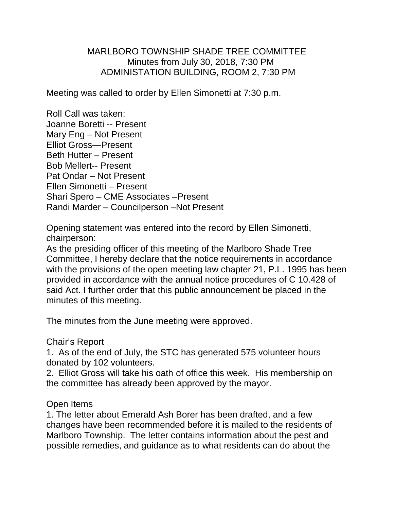## MARLBORO TOWNSHIP SHADE TREE COMMITTEE Minutes from July 30, 2018, 7:30 PM ADMINISTATION BUILDING, ROOM 2, 7:30 PM

Meeting was called to order by Ellen Simonetti at 7:30 p.m.

Roll Call was taken: Joanne Boretti -- Present Mary Eng – Not Present Elliot Gross—Present Beth Hutter – Present Bob Mellert-- Present Pat Ondar – Not Present Ellen Simonetti – Present Shari Spero – CME Associates –Present Randi Marder – Councilperson –Not Present

Opening statement was entered into the record by Ellen Simonetti, chairperson:

As the presiding officer of this meeting of the Marlboro Shade Tree Committee, I hereby declare that the notice requirements in accordance with the provisions of the open meeting law chapter 21, P.L. 1995 has been provided in accordance with the annual notice procedures of C 10.428 of said Act. I further order that this public announcement be placed in the minutes of this meeting.

The minutes from the June meeting were approved.

## Chair's Report

1. As of the end of July, the STC has generated 575 volunteer hours donated by 102 volunteers.

2. Elliot Gross will take his oath of office this week. His membership on the committee has already been approved by the mayor.

## Open Items

1. The letter about Emerald Ash Borer has been drafted, and a few changes have been recommended before it is mailed to the residents of Marlboro Township. The letter contains information about the pest and possible remedies, and guidance as to what residents can do about the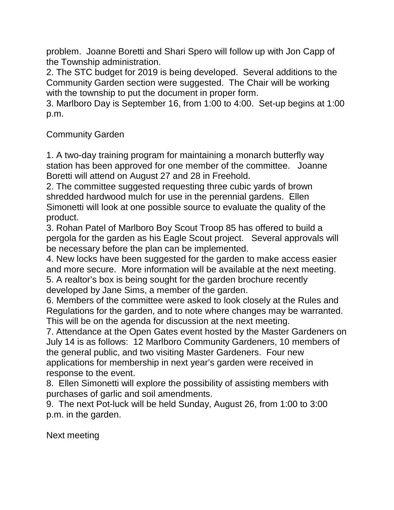problem. Joanne Boretti and Shari Spero will follow up with Jon Capp of the Township administration.

2. The STC budget for 2019 is being developed. Several additions to the Community Garden section were suggested. The Chair will be working with the township to put the document in proper form.

3. Marlboro Day is September 16, from 1:00 to 4:00. Set-up begins at 1:00 p.m.

## Community Garden

1. A two-day training program for maintaining a monarch butterfly way station has been approved for one member of the committee. Joanne Boretti will attend on August 27 and 28 in Freehold.

2. The committee suggested requesting three cubic yards of brown shredded hardwood mulch for use in the perennial gardens. Ellen Simonetti will look at one possible source to evaluate the quality of the product.

3. Rohan Patel of Marlboro Boy Scout Troop 85 has offered to build a pergola for the garden as his Eagle Scout project. Several approvals will be necessary before the plan can be implemented.

4. New locks have been suggested for the garden to make access easier and more secure. More information will be available at the next meeting. 5. A realtor's box is being sought for the garden brochure recently

developed by Jane Sims, a member of the garden.

6. Members of the committee were asked to look closely at the Rules and Regulations for the garden, and to note where changes may be warranted. This will be on the agenda for discussion at the next meeting.

7. Attendance at the Open Gates event hosted by the Master Gardeners on July 14 is as follows: 12 Marlboro Community Gardeners, 10 members of the general public, and two visiting Master Gardeners. Four new applications for membership in next year's garden were received in response to the event.

8. Ellen Simonetti will explore the possibility of assisting members with purchases of garlic and soil amendments.

9. The next Pot-luck will be held Sunday, August 26, from 1:00 to 3:00 p.m. in the garden.

Next meeting